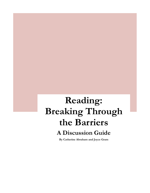# **Reading: Breaking Through the Barriers A Discussion Guide**

**By Catherine Abraham and Joyce Gram**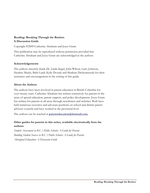#### **Reading: Breaking Through the Barriers A Discussion Guide**

Copyright ©2009 Catherine Abraham and Joyce Gram

This publication may be reproduced without permission provided that Catherine Abraham and Joyce Gram are acknowledged as the authors.

#### **Acknowledgements**

The authors sincerely thank Dr. Linda Siegel, John Wilson, Larry Johnson, Heather Maahs, Barb Lund, Kelly Dvorak and Sharlene Drohomereski for their assistance and encouragement in the writing of this guide.

#### **About the Authors**

The authors have been involved in parent education in British Columbia for over twenty years. Catherine Abraham has written extensively for parents in the areas of special education, parent support, and policy development. Joyce Gram has written for parents in all areas through newsletters and websites. Both have held numerous executive and advocate positions on school and district parent advisory councils and have worked at the provincial level.

The authors can be reached at **[parenteducation@hotmail.com](mailto:parenteducation@hotmail.com)**.

#### **Other guides for parents in this series, available electronically from the authors:**

*Student Assessment in B.C.'s Public Schools: A Guide for Parents Building Student Success in B.C.'s Public Schools: A Guide for Parents Aboriginal Education: A Discussion Guide*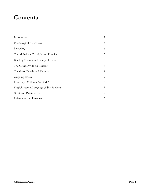# **Contents**

| Introduction                           | $\overline{2}$ |
|----------------------------------------|----------------|
| Phonological Awareness                 | 3              |
| Decoding                               | $\overline{4}$ |
| The Alphabetic Principle and Phonics   | 5              |
| Building Fluency and Comprehension     | 6              |
| The Great Divide on Reading            | 7              |
| The Great Divide and Phonics           | 8              |
| Ongoing Issues                         | 9              |
| Looking at Children "At Risk"          | 10             |
| English Second Language (ESL) Students | 11             |
| What Can Parents Do?                   | 12             |
| References and Resources               | 13             |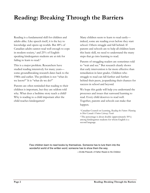# **Reading: Breaking Through the Barriers**

Reading is a fundamental skill for children and adults alike. Like speech itself, it is the key to knowledge and opens up worlds. But 48% of Canadian adults cannot read well enough to cope in modern society,<sup>1</sup> and  $25%$  of Englishspeaking kindergarten students are at risk for failing to learn to read.<sup>2</sup>

This is a major problem. Researchers have studied reading intensively for many years some groundbreaking research dates back to the 1980s and earlier. The problem is not "what do we know?" It is "what do we do?"

Parents are often reminded that reading to their children is important, but they are seldom told why. What does a bedtime story teach a child? Why is reading to a child important after the child reaches kindergarten?

Many children seem to learn to read easily indeed, some are reading even before they start school. Others struggle and fall behind. If parents and schools are to help all children learn this basic skill, we need to understand the many steps that go into learning to read.

Parents of struggling readers are sometimes told to "wait and see." But research clearly shows that early intervention is far more effective than remediation in later grades. Children who struggle to read can fall further and further behind their peers, jeopardizing their chances for success in school and beyond.

We hope this guide will help you understand the processes and issues that surround learning to read. Every child deserves to read well. Together, parents and schools can make that happen.

1 Canadian Council on Learning, *Reading the Future: Planning to Meet Canada's Future Literacy Needs*

2 The percentage is about double (approximately 50%) among kindergarten students for whom English is a second language.

Few children learn to read books by themselves. Someone has to lure them into the wonderful world of the written word; someone has to show them the way.

—Orville Prescott, *A Father Reads to His Children*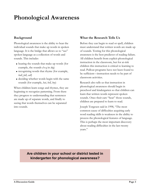# **Phonological Awareness**

### **Background**

Phonological awareness is the ability to hear the individual sounds that make up words in spoken language. It is the bridge that allows us to "see" spoken language as a collection of words and sounds. This includes

- hearing the sounds that make up words (for example, the sounds *d-o-g* in *dog*)
- recognizing words that rhyme (for example, *ball*, *fall*, *call*)
- deciding whether words begin with the same sounds (for example, *bat*, *bell*, *boy*)

When children learn songs and rhymes, they are beginning to recognize patterning. From there they progress to understanding that sentences are made up of separate words, and finally to seeing that words themselves can be separated into sounds.

# **What the Research Tells Us**

Before they can begin to read or spell, children must understand that written words are made up of sounds. Testing for this phonological awareness is the best predictor of reading failure. All children benefit from explicit phonological instruction in the classroom, but for at-risk children this instruction is critical to learning to read. Pullout programs have not been found to be sufficient—instruction needs to be part of classroom activities.

Research also tells us that instruction in phonological awareness should begin in preschool and kindergarten so that children can learn that written words represent spoken sounds. Once their ears "hear" those sounds, children are prepared to learn to read.

Joseph Torgesen said in 1998, "The most common cause of difficulties acquiring early word reading skills is weakness in the ability to process the phonological features of language. This is perhaps the most important discovery about reading difficulties in the last twenty years."

**Are children in your school or district tested in kindergarten for phonological awareness?**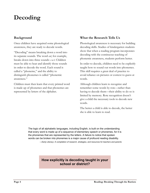# **Decoding**

### **Background**

Once children have acquired some phonological awareness, they are ready to decode words.

"Decoding" means breaking down a word into its separate sounds. The word *cat*, for example, breaks down into three sounds: *c-a-t*. Children must be able to hear and identify those sounds in order to decode the word. Each sound is called a "phoneme," and the ability to distinguish phonemes is called "phonemic awareness."

Children must then learn that every printed word is made up of phonemes and that phonemes are represented by letters of the alphabet.

#### **What the Research Tells Us**

Phonological awareness is necessary for building decoding skills. Studies of kindergarten students show that when a reading program incorporates decoding with the continuous teaching of phonemic awareness, students perform better.

In order to decode, children need to be explicitly taught how to sound out words into phonemes. This skill requires a great deal of practice to avoid reliance on pictures or context to guess at words.

Although children learn to recognize and remember some words by rote—rather than having to decode them—their ability to do so is limited by memory. Rote recognition doesn't give a child the necessary tools to decode new words.

The better a child is able to decode, the better she is able to learn to read.

The logic of all alphabetic languages, including English, is built on the understanding that every word is made up of a sequence of elementary speech or phonemes, for it is the phonemes that are represented by the letters. A failure to notice that spoken words can be broken into phonemes is a major cause of profound reading disability. —*Early Literacy: A compilation of research, strategies, and resources for teachers and parents*

### **How explicitly is decoding taught in your school or district?**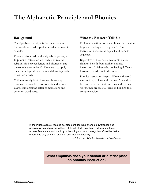# **The Alphabetic Principle and Phonics**

### **Background**

The alphabetic principle is the understanding that words are made up of letters that represent sounds.

Phonics is founded on this alphabetic principle. In phonics instruction we teach children the relationship between letters and phonemes and the sounds they make. Children learn to apply their phonological awareness and decoding skills to written words.

Children usually begin learning phonics by learning the sounds of consonants and vowels, vowel combinations, letter combinations and common word parts.

### **What the Research Tells Us**

Children benefit most when phonics instruction begins in kindergarten or grade 1. This instruction needs to be explicit and done in sequence.

Regardless of their socio-economic status, children benefit from explicit phonics instruction. Children who are having difficulty learning to read benefit the most.

Phonics instruction helps children with word recognition, spelling and reading. As children become more fluent at decoding and reading words, they are able to focus on building their comprehension.

In the initial stages of reading development, learning phoneme awareness and phonics skills and practicing these skills with texts is critical. Children must also acquire fluency and automaticity in decoding and word recognition. Consider that a reader has only so much attention and memory capacity.

—G. Reid Lyon, *Why Reading is Not a Natural Process*

**What emphasis does your school or district place on phonics instruction?**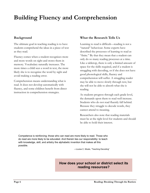# **Building Fluency and Comprehension**

### **Background**

The ultimate goal in teaching reading is to have students comprehend the ideas in a piece of text as they read.

Fluency comes when a student recognizes more and more words on sight and stores them in memory. Vocabulary naturally increases. The more times a child sees a word in text, the more likely she is to recognize the word by sight and avoid making a reading error.

Comprehension means understanding what is read. It does not develop automatically with fluency, and some children benefit from direct instruction in comprehension strategies.

#### **What the Research Tells Us**

Learning to read is difficult—reading is not a "natural" behaviour. Some experts have described the processes of learning to read as "finite." By that they mean that a student can only do so many reading processes at a time. Like a tabletop, there is only a limited amount of space for the skills required, and if a student is struggling with decoding, or if she does not have good phonological skills, fluency and comprehension will suffer. A struggling reader may be able to move slowly through text, but she will not be able to absorb what she is reading.

As students progress through each grade level, the demands upon them to read well increase. Students who do not read fluently fall behind. Because they struggle to decode words, they cannot attend to meaning.

Researchers also note that reading materials must be at the right level for students and should be able to hold their interest.

Competence is reinforcing; those who can read are more likely to read. Those who do read are more likely to be educated. And therein lies our responsibility: to teach with knowledge, skill, and artistry the alphabetic invention that makes all this possible.

—Louisa C. Moats, "Teaching Decoding"

# **How does your school or district select its reading resources?**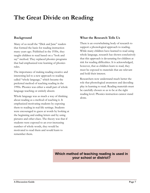# **The Great Divide on Reading**

### **Background**

Many of us recall the "Dick and Jane" readers that formed the basis for reading instruction many years ago. Published in the 1930s, they taught children to read based on a "look and say" method. They replaced phonics programs that had emphasized rote learning of phonics rules.

The importance of making reading creative and interesting led to a new approach to reading called "whole language," which became the preferred method of teaching reading in the 1990s. Phonics was either a small part of whole language teaching or entirely absent.

Whole language was as much a way of thinking about reading as a method of teaching it. It emphasized motivating students by exposing them to reading in real-life settings. Students were encouraged to guess at words by looking at the beginning and ending letters and by using pictures and other clues. The theory was that if students were exposed to an ever-increasing number of whole words, they would be motivated to read them and would learn to remember them.

# **What the Research Tells Us**

There is an overwhelming body of research to support a phonological approach to reading. While many children have learned to read using whole language, research has shown conclusively that this approach is devastating for children at risk for reading difficulties. It is acknowledged, however, that as children learn to read, they must be exposed to materials that are relevant and hold their interest.

Researchers now understand much better the role that phonological awareness and decoding play in learning to read. Reading materials must be carefully chosen so as to be at the right reading level. Phonics instruction cannot stand alone.

# **Which method of teaching reading is used in your school or district?**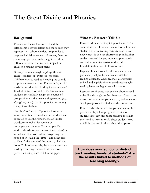# **The Great Divide and Phonics**

### **Background**

Phonics are the tool we use to build the relationship between letters and the sounds they represent. All school districts use phonics to help teach children to read. However, there are many ways phonics can be taught, and these different ways have a profound impact on children's reading development.

When phonics are taught *explicitly*, they are called "explicit" or "synthetic" phonics. Children learn to read by blending the sounds or phonemes—in a word. For example, a child reads the word *cat* by blending the sounds *c-a-t*. In addition to vowel and consonant sounds, students are explicitly taught the sounds of groups of letters that make a single sound (e.g., *sh*, *ough*, *th*, or *ow*). Explicit phonics do not rely on sight vocabulary.

"Implicit" or "analytic" phonics look at the whole word first. To read a word, students are expected to use their knowledge of similar words, or to look at its context or accompanying pictures. For example, if a student already knows the words *sat* and *bat*, he would learn the word *cat* by recognizing the sound of *at* (called the "rime") and using clues to identify the sound of the letter *c* (called the "onset"). In other words, the student learns to read by dissecting the word into its known parts, then using clues to fill in the gaps.

# **What the Research Tells Us**

Research shows that implicit phonics work for some students. However, this method relies on a student's ever-increasing memory base to learn new words. It also has shortcomings in helping students to read longer, more complex words, and it does not give at-risk students the foundation they need to learn to read.

Explicit phonics work for all students but are particularly helpful for students at risk for reading difficulty. When teachers are properly trained and explicit phonics are directly taught, reading levels are higher for all students.

Research emphasizes that explicit phonics need to be directly taught in the classroom. Classroom instruction can be supplemented by individual or small-group work for students who are at risk.

Research also shows that supplementing implicit phonics with pullout programs for at-risk students does not give these students the skills they need to learn to read. These students tend to fall further and further behind their peers.

**How does your school or district track reading levels of students? Are the results linked to methods of teaching reading?**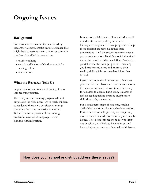# **Ongoing Issues**

### **Background**

Some issues are consistently mentioned by researchers as problematic despite evidence that might help to resolve them. The most common problems identified in research are

- teacher-training
- early identification of children at risk for reading failure
- **n**intervention

#### **What the Research Tells Us**

A great deal of research is not finding its way into teaching practice.

University teacher-training programs do not emphasize the skills necessary to teach children to read, and there is no consistency among programs from one university to another. Behind the scenes, wars still rage among academics over whole language versus phonological instruction.

In many school districts, children at risk are still not identified until grade 3, rather than kindergarten or grade 1. Thus, programs to help these children are remedial rather than preventative—and the success rate for remedial programs is very low. Keith Stanovich described the problem as the "Matthew Effects"—the rich get richer and the poor get poorer—meaning good readers read more and improve their reading skills, while poor readers fall further behind.

Researchers note that intervention often takes place outside the classroom. But research shows that classroom-based intervention is necessary for children to acquire basic skills. Children at risk for reading failure must be taught more skills directly by the teacher.

For a small percentage of students, reading difficulties persist despite intensive intervention. Researchers acknowledge that, for this group, more research is needed on how they can best be helped. These students are more likely to drop out of school, less likely to be employed, and have a higher percentage of mental health issues.

# **How does your school or district address these issues?**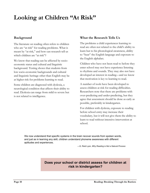# **Looking at Children "At Risk"**

### **Background**

The literature on reading often refers to children who are "at risk" for reading problems. What is meant by "at risk," and how can research tell us which children are "at risk"?

We know that reading can be affected by socioeconomic status and cultural and linguistic background. Testing shows that students from low socio-economic backgrounds and cultural and linguistic heritage other than English may be at higher risk for problems learning to read.

Some children are diagnosed with dyslexia, a neurological condition that affects their ability to read. Dyslexia can range from mild to severe but is not related to intelligence.

### **What the Research Tells Us**

The problems a child experiences learning to read are often not related to the child's ability to learn but to his phonological awareness, ability to "hear" the English language and exposure to the English alphabet.

Children who have not been read to before they enter school may not have experience listening to rhythms and sounds. They may also not have developed an interest in reading—and we know that motivation is key to learning to read.

A number of tools have been developed to assess children at risk for reading difficulties. Researchers note that there are problems with over-predicting and under-predicting, but they agree that assessment should be done as early as possible, preferably in kindergarten.

For children with dyslexia, exposure to reading before school entry may increase their vocabulary, but it will not give them the ability to learn to read without intensive intervention at school.

We now understand that specific systems in the brain recover sounds from spoken words, and just as in learning any skill, children understand phoneme awareness with different aptitudes and experiences.

—G. Reid Lyon, *Why Reading is Not a Natural Process*

# **Does your school or district assess for children at risk in kindergarten?**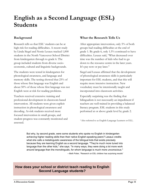# **English as a Second Language (ESL) Students**

# **Background**

Research tells us that ESL<sup>1</sup> students can be at high risk for reading difficulties. A recent study by Linda Siegel and Nonie Lesaux tracked 1,000 students in the North Vancouver School District from kindergarten through to grade 6. The group included students from diverse socioeconomic, cultural and linguistic backgrounds.

The students were tested in kindergarten for phonological awareness, and language and memory skills. The testing showed that 25% of those whose first language was English and about 50% of those whose first language was not English were at risk for reading problems.

Teachers received extensive training and professional development in classroom-based intervention. All students were given explicit instruction in phonological awareness and decoding. At-risk students received more focused intervention in small groups, and student progress was constantly monitored and assessed.

#### **What the Research Tells Us**

After appropriate intervention, only 5% of both groups had reading difficulties at the end of grade 1. By grade 6, only 1.5% continued to have difficulties. Lesaux said, "What decreased over time was the number of kids who had to go down to the resource centre in the later years. It's pay now or pay later."

Siegel and Lesaux affirmed that the development of phonological awareness skills is particularly important for ESL students, and that this will require more intensive instruction. New vocabulary must be intentionally taught and incorporated into classroom activities.

Especially surprising was the finding that bilingualism is not necessarily an impediment if teachers are well trained in providing a balanced literacy program. ESL students in this study performed at or above grade level by grade 2.

1 Also referred to as English Language Learners or ELL.

But why, by second grade, were some students who spoke no English in kindergarten achieving higher reading skills than their native English-speaking peers? Lesaux credits what she calls a metalinguistic awareness of the bilingual kids that exists precisely because they are learning English as a second language. "They're much more tuned into language than the other kids," she says. "In many ways, they were doing a lot more work around language than the monolinguals, for whom language is much more unconscious." —Beth Potier, "Research on ESL children has surprising results"

# **How does your school or district teach reading to English Second Language students?**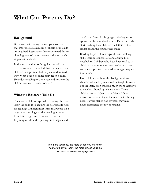# **What Can Parents Do?**

### **Background**

We know that reading is a complex skill, one that improves as a number of specific sub-skills are acquired. Researchers have compared this to climbing a set of stairs—to reach the top, each step must be climbed.

In the introduction to this guide, we said that parents are often reminded that reading to their children is important, but they are seldom told why. What does a bedtime story teach a child? How does reading to a one-year-old relate to the child's learning to read at school?

#### **What the Research Tells Us**

The more a child is exposed to reading, the more likely the child is to acquire the prerequisite skills for reading. Children must learn that words on a page have meaning and that reading is done from left to right and from top to bottom. Rhyming words and repeating lines help a child

develop an "ear" for language—she begins to appreciate the sounds of words. Parents can also start teaching their children the letters of the alphabet and the sounds they make

Reading helps children expand their thinking skills, learn to concentrate and enlarge their vocabulary. Children who have been read to in childhood are more motivated to learn to read, and they appreciate that reading is a gateway to new ideas.

Even children without this background, and children who are dyslexic, can be taught to read, but the instruction must be much more intensive to develop phonological awareness. These children are at higher risk of failure. If the instruction does not give them all the tools they need, if every step is not covered, they may never experience the joy of reading.

The more you read, the more things you will know. The more that you learn, the more places you'll go. —Dr. Seuss, *I Can Read With My Eyes Shut!*